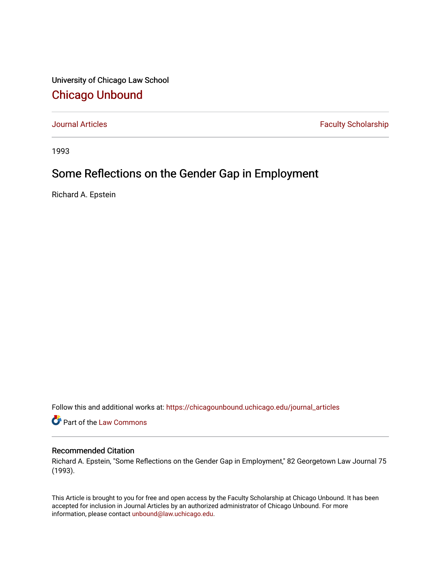University of Chicago Law School [Chicago Unbound](https://chicagounbound.uchicago.edu/)

[Journal Articles](https://chicagounbound.uchicago.edu/journal_articles) **Faculty Scholarship Faculty Scholarship** 

1993

# Some Reflections on the Gender Gap in Employment

Richard A. Epstein

Follow this and additional works at: [https://chicagounbound.uchicago.edu/journal\\_articles](https://chicagounbound.uchicago.edu/journal_articles?utm_source=chicagounbound.uchicago.edu%2Fjournal_articles%2F1272&utm_medium=PDF&utm_campaign=PDFCoverPages) 

Part of the [Law Commons](http://network.bepress.com/hgg/discipline/578?utm_source=chicagounbound.uchicago.edu%2Fjournal_articles%2F1272&utm_medium=PDF&utm_campaign=PDFCoverPages)

# Recommended Citation

Richard A. Epstein, "Some Reflections on the Gender Gap in Employment," 82 Georgetown Law Journal 75 (1993).

This Article is brought to you for free and open access by the Faculty Scholarship at Chicago Unbound. It has been accepted for inclusion in Journal Articles by an authorized administrator of Chicago Unbound. For more information, please contact [unbound@law.uchicago.edu](mailto:unbound@law.uchicago.edu).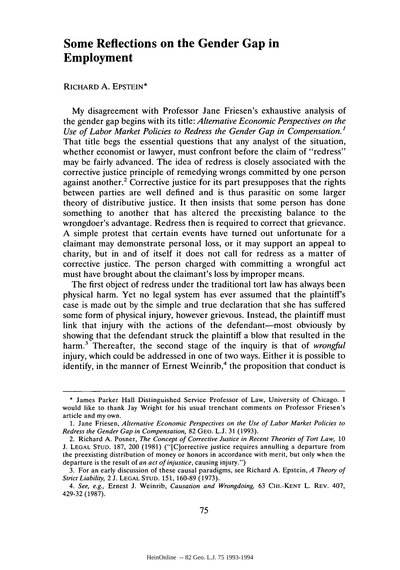# **Some Reflections on the Gender Gap in Employment**

#### RICHARD A. EPSTEIN\*

My disagreement with Professor Jane Friesen's exhaustive analysis of the gender gap begins with its title: *Alternative Economic Perspectives on the Use of Labor Market Policies to Redress the Gender Gap in Compensation.'* That title begs the essential questions that any analyst of the situation, whether economist or lawyer, must confront before the claim of "redress" may be fairly advanced. The idea of redress is closely associated with the corrective justice principle of remedying wrongs committed by one person against another.<sup>2</sup> Corrective justice for its part presupposes that the rights between parties are well defined and is thus parasitic on some larger theory of distributive justice. It then insists that some person has done something to another that has altered the preexisting balance to the wrongdoer's advantage. Redress then is required to correct that grievance. A simple protest that certain events have turned out unfortunate for a claimant may demonstrate personal loss, or it may support an appeal to charity, but in and of itself it does not call for redress as a matter of corrective justice. The person charged with committing a wrongful act must have brought about the claimant's loss by improper means.

The first object of redress under the traditional tort law has always been physical harm. Yet no legal system has ever assumed that the plaintiff's case is made out by the simple and true declaration that she has suffered some form of physical injury, however grievous. Instead, the plaintiff must link that injury with the actions of the defendant-most obviously by showing that the defendant struck the plaintiff a blow that resulted in the harm.3 Thereafter, the second stage of the inquiry is that of *wrongful* injury, which could be addressed in one of two ways. Either it is possible to identify, in the manner of Ernest Weinrib, $4$  the proposition that conduct is

<sup>\*</sup> James Parker Hall Distinguished Service Professor of Law, University of Chicago. I would like to thank Jay Wright for his usual trenchant comments on Professor Friesen's article and my own.

<sup>1.</sup> Jane Friesen, *Alternative Economic Perspectives on the Use of Labor Market Policies to Redress the Gender Gap in Compensation,* 82 GEO. L.J. 31 (1993).

<sup>2.</sup> Richard A. Posner, *The Concept of Corrective Justice in Recent Theories of Tort Law,* 10 J. LEGAL STUD. 187, 200 (1981) ("[C]orrective justice requires annulling a departure from the preexisting distribution of money or honors in accordance with merit, but only when the departure is the result of *an act of injustice,* causing injury.")

<sup>3.</sup> For an early discussion of these causal paradigms, see Richard A. Epstein, *A Theory of Strict Liability,* 2 J. LEGAL **STUD.** 151, 160-89 (1973).

*<sup>4.</sup> See, e.g.,* Ernest J. Weinrib, *Causation and Wrongdoing,* 63 **CHI.-KENT** L. REV. 407, 429-32 (1987).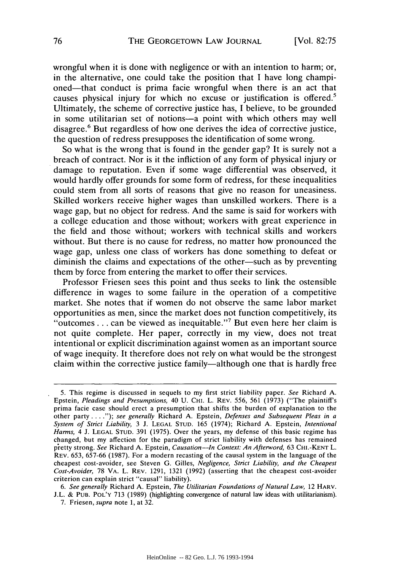wrongful when it is done with negligence or with an intention to harm; or, in the alternative, one could take the position that I have long championed-that conduct is prima facie wrongful when there is an act that causes physical injury for which no excuse or justification is offered.5 Ultimately, the scheme of corrective justice has, I believe, to be grounded in some utilitarian set of notions-a point with which others may well disagree.6 But regardless of how one derives the idea of corrective justice, the question of redress presupposes the identification of some wrong.

So what is the wrong that is found in the gender gap? It is surely not a breach of contract. Nor is it the infliction of any form of physical injury or damage to reputation. Even if some wage differential was observed, it would hardly offer grounds for some form of redress, for these inequalities could stem from all sorts of reasons that give no reason for uneasiness. Skilled workers receive higher wages than unskilled workers. There is a wage gap, but no object for redress. And the same is said for workers with a college education and those without; workers with great experience in the field and those without; workers with technical skills and workers without. But there is no cause for redress, no matter how pronounced the wage gap, unless one class of workers has done something to defeat or diminish the claims and expectations of the other—such as by preventing them by force from entering the market to offer their services.

Professor Friesen sees this point and thus seeks to link the ostensible difference in wages to some failure in the operation of a competitive market. She notes that if women do not observe the same labor market opportunities as men, since the market does not function competitively, its "outcomes... can be viewed as inequitable."<sup>7</sup> But even here her claim is not quite complete. Her paper, correctly in my view, does not treat intentional or explicit discrimination against women as an important source of wage inequity. It therefore does not rely on what would be the strongest claim within the corrective justice family—although one that is hardly free

*6. See generally* Richard A. Epstein, *The Utilitarian Foundations of Natural Law,* 12 HARV. J.L. & **PUB.** POL'Y 713 (1989) (highlighting convergence of natural law ideas with utilitarianism).

<sup>5.</sup> This regime is discussed in sequels to my first strict liability paper. *See* Richard A. Epstein, *Pleadings and Presumptions,* 40 U. CHI. L. REV. 556, 561 (1973) ("The plaintiff's prima facie case should erect a presumption that shifts the burden of explanation to the other party **....");** *see generally* Richard A. Epstein, *Defenses and Subsequent Pleas in a System of Strict Liability,* 3 **J. LEGAL STUD.** 165 (1974); Richard A. Epstein, *Intentional Harms,* 4 J. **LEGAL STUD.** 391 (1975). Over the years, my defense of this basic regime has changed, but my affection for the paradigm of strict liability with defenses has remained pretty strong. *See* Richard A. Epstein, *Causation-In Context: An Afterword,* 63 CHI.-KENT L. REV. 653, 657-66 (1987). For a modern recasting of the causal system in the language of the cheapest cost-avoider, see Steven G. Gilles, *Negligence, Strict Liability, and the Cheapest Cost-Avoider,* 78 VA. L. REV. 1291, 1321 (1992) (asserting that the cheapest cost-avoider criterion can explain strict "causal" liability).

<sup>7.</sup> Friesen, *supra* note 1, at 32.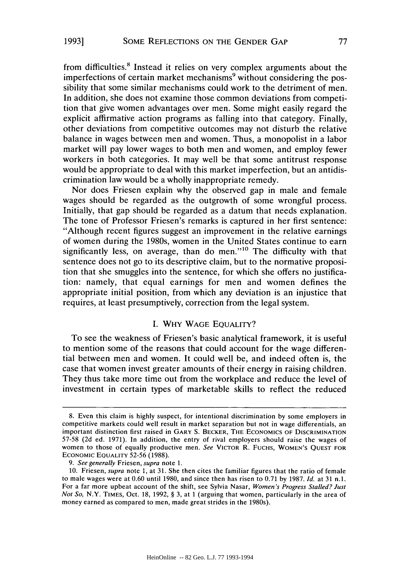**1993]**

from difficulties.<sup>8</sup> Instead it relies on very complex arguments about the imperfections of certain market mechanisms<sup>9</sup> without considering the possibility that some similar mechanisms could work to the detriment of men. In addition, she does not examine those common deviations from competition that give women advantages over men. Some might easily regard the explicit affirmative action programs as falling into that category. Finally, other deviations from competitive outcomes may not disturb the relative balance in wages between men and women. Thus, a monopolist in a labor market will pay lower wages to both men and women, and employ fewer workers in both categories. It may well be that some antitrust response would be appropriate to deal with this market imperfection, but an antidiscrimination law would be a wholly inappropriate remedy.

Nor does Friesen explain why the observed gap in male and female wages should be regarded as the outgrowth of some wrongful process. Initially, that gap should be regarded as a datum that needs explanation. The tone of Professor Friesen's remarks is captured in her first sentence: "Although recent figures suggest an improvement in the relative earnings of women during the 1980s, women in the United States continue to earn significantly less, on average, than do men."<sup>10</sup> The difficulty with that sentence does not go to its descriptive claim, but to the normative proposition that she smuggles into the sentence, for which she offers no justification: namely, that equal earnings for men and women defines the appropriate initial position, from which any deviation is an injustice that requires, at least presumptively, correction from the legal system.

### **I.** WHY **WAGE** EQUALITY?

To see the weakness of Friesen's basic analytical framework, it is useful to mention some of the reasons that could account for the wage differential between men and women. It could well be, and indeed often is, the case that women invest greater amounts of their energy in raising children. They thus take more time out from the workplace and reduce the level of investment in certain types of marketable skills to reflect the reduced

*9. See generally* Friesen, *supra* note 1.

<sup>8.</sup> Even this claim is highly suspect, for intentional discrimination by some employers in competitive markets could well result in market separation but not in wage differentials, an important distinction first raised in GARY **S.** BECKER, THE **ECONOMICS** OF DISCRIMINATION 57-58 (2d ed. 1971). In addition, the entry of rival employers should raise the wages of women to those of equally productive men. *See* VICTOR R. FUCHS, **WOMEN'S QUEST** FOR ECONOMIC EQUALITY 52-56 (1988).

<sup>10.</sup> Friesen, *supra* note 1, at 31. She then cites the familiar figures that the ratio of female to male wages were at 0.60 until 1980, and since then has risen to 0.71 by 1987. *Id.* at 31 n.1. For a far more upbeat account of the shift, see Sylvia Nasar, *Women's Progress Stalled? Just Not So,* N.Y. TIMES, Oct. 18, 1992, **§** 3, at 1 (arguing that women, particularly in the area of money earned as compared to men, made great strides in the 1980s).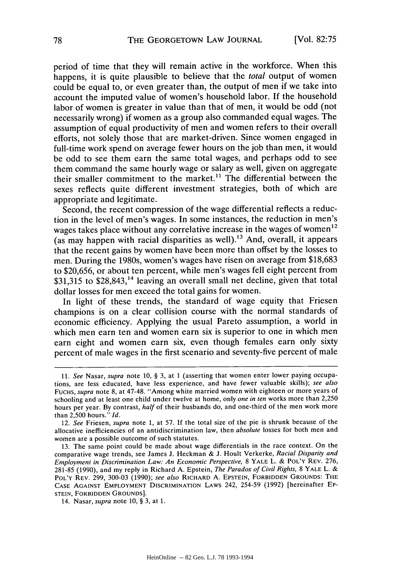period of time that they will remain active in the workforce. When this happens, it is quite plausible to believe that the *total* output of women could be equal to, or even greater than, the output of men if we take into account the imputed value of women's household labor. If the household labor of women is greater in value than that of men, it would be odd (not necessarily wrong) if women as a group also commanded equal wages. The assumption of equal productivity of men and women refers to their overall efforts, not solely those that are market-driven. Since women engaged in full-time work spend on average fewer hours on the job than men, it would be odd to see them earn the same total wages, and perhaps odd to see them command the same hourly wage or salary as well, given on aggregate their smaller commitment to the market.<sup>11</sup> The differential between the sexes reflects quite different investment strategies, both of which are appropriate and legitimate.

Second, the recent compression of the wage differential reflects a reduction in the level of men's wages. In some instances, the reduction in men's wages takes place without any correlative increase in the wages of women<sup>12</sup> (as may happen with racial disparities as well).<sup>13</sup> And, overall, it appears that the recent gains by women have been more than offset by the losses to men. During the 1980s, women's wages have risen on average from \$18,683 to \$20,656, or about ten percent, while men's wages fell eight percent from \$31,315 to \$28,843,<sup>14</sup> leaving an overall small net decline, given that total dollar losses for men exceed the total gains for women.

In light of these trends, the standard of wage equity that Friesen champions is on a clear collision course with the normal standards of economic efficiency. Applying the usual Pareto assumption, a world in which men earn ten and women earn six is superior to one in which men earn eight and women earn six, even though females earn only sixty percent of male wages in the first scenario and seventy-five percent of male

<sup>11.</sup> *See* Nasar, *supra* note 10, § 3, at 1 (asserting that women enter lower paying occupations, are less educated, have less experience, and have fewer valuable skills); *see also* FUCHS, *supra* note 8, at 47-48. "Among white married women with eighteen or more years of schooling and at least one child under twelve at home, only *one in ten* works more than 2,250 hours per year. By contrast, *half* of their husbands do, and one-third of the men work more than 2,500 hours." *Id.*

<sup>12.</sup> *See* Friesen, *supra* note 1, at 57. If the total size of the pie is shrunk because of the allocative inefficiencies of an antidiscrimination law, then *absolute* losses for both men and women are a possible outcome of such statutes.

<sup>13.</sup> The same point could be made about wage differentials in the race context. On the comparative wage trends, see James J. Heckman & **J.** Hoult Verkerke, *Racial Disparity and Employment in Discrimination Law: An Economic Perspective,* 8 YALE L. & POL'Y REV. 276, 281-85 (1990), and my reply in Richard A. Epstein, *The Paradox of Civil Rights,* 8 YALE L. & POL'Y REV. 299, 300-03 (1990); *see also* RICHARD **A. EPSTEIN,** FORBIDDEN **GROUNDS:** THE **CASE** AGAINST EMPLOYMENT **DISCRIMINATION** LAWS 242, 254-59 (1992) [hereinafter EP-**STEIN,** FORBIDDEN **GROUNDS].**

<sup>14.</sup> Nasar, *supra* note 10, § 3, at 1.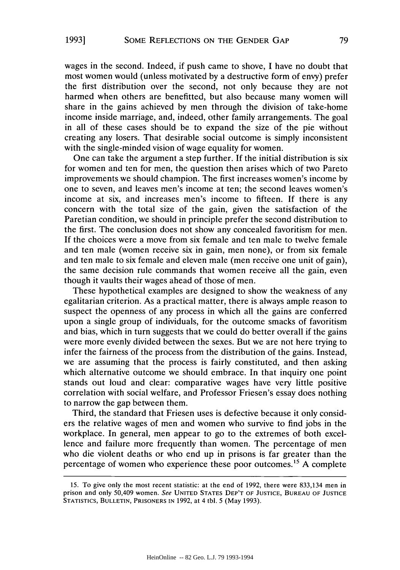wages in the second. Indeed, if push came to shove, I have no doubt that most women would (unless motivated by a destructive form of envy) prefer the first distribution over the second, not only because they are not harmed when others are benefitted, but also because many women will share in the gains achieved by men through the division of take-home income inside marriage, and, indeed, other family arrangements. The goal in all of these cases should be to expand the size of the pie without creating any losers. That desirable social outcome is simply inconsistent with the single-minded vision of wage equality for women.

One can take the argument a step further. If the initial distribution is six for women and ten for men, the question then arises which of two Pareto improvements we should champion. The first increases women's income by one to seven, and leaves men's income at ten; the second leaves women's income at six, and increases men's income to fifteen. If there is any concern with the total size of the gain, given the satisfaction of the Paretian condition, we should in principle prefer the second distribution to the first. The conclusion does not show any concealed favoritism for men. If the choices were a move from six female and ten male to twelve female and ten male (women receive six in gain, men none), or from six female and ten male to six female and eleven male (men receive one unit of gain), the same decision rule commands that women receive all the gain, even though it vaults their wages ahead of those of men.

These hypothetical examples are designed to show the weakness of any egalitarian criterion. As a practical matter, there is always ample reason to suspect the openness of any process in which all the gains are conferred upon a single group of individuals, for the outcome smacks of favoritism and bias, which in turn suggests that we could do better overall if the gains were more evenly divided between the sexes. But we are not here trying to infer the fairness of the process from the distribution of the gains. Instead, we are assuming that the process is fairly constituted, and then asking which alternative outcome we should embrace. In that inquiry one point stands out loud and clear: comparative wages have very little positive correlation with social welfare, and Professor Friesen's essay does nothing to narrow the gap between them.

Third, the standard that Friesen uses is defective because it only considers the relative wages of men and women who survive to find jobs in the workplace. In general, men appear to go to the extremes of both excellence and failure more frequently than women. The percentage of men who die violent deaths or who end up in prisons is far greater than the percentage of women who experience these poor outcomes.<sup>15</sup> A complete

<sup>15.</sup> To give only the most recent statistic: at the end of 1992, there were 833,134 men in prison and only 50,409 women. See **UNITED** STATES DEP'T OF **JUSTICE, BUREAU** OF **JUSTICE** STATISTICS, **BULLETIN,** PRISONERS **IN** 1992, at 4 tbi. 5 (May 1993).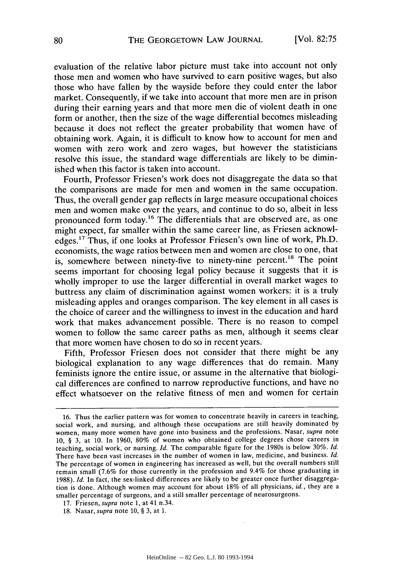evaluation of the relative labor picture must take into account not only those men and women who have survived to earn positive wages, but also those who have fallen by the wayside before they could enter the labor market. Consequently, if we take into account that more men are in prison during their earning years and that more men die of violent death in one form or another, then the size of the wage differential becomes misleading because it does not reflect the greater probability that women have of obtaining work. Again, it is difficult to know how to account for men and women with zero work and zero wages, but however the statisticians resolve this issue, the standard wage differentials are likely to be diminished when this factor is taken into account.

Fourth, Professor Friesen's work does not disaggregate the data so that the comparisons are made for men and women in the same occupation. Thus, the overall gender gap reflects in large measure occupational choices men and women make over the years, and continue to do so, albeit in less pronounced form today.<sup>16</sup> The differentials that are observed are, as one might expect, far smaller within the same career line, as Friesen acknowledges.<sup>17</sup> Thus, if one looks at Professor Friesen's own line of work, Ph.D. economists, the wage ratios between men and women are close to one, that is, somewhere between ninety-five to ninety-nine percent.<sup>18</sup> The point seems important for choosing legal policy because it suggests that it is wholly improper to use the larger differential in overall market wages to buttress any claim of discrimination against women workers: it is a truly misleading apples and oranges comparison. The key element in all cases is the choice of career and the willingness to invest in the education and hard work that makes advancement possible. There is no reason to compel women to follow the same career paths as men, although it seems clear that more women have chosen to do so in recent years.

Fifth, Professor Friesen does not consider that there might be any biological explanation to any wage differences that do remain. Many feminists ignore the entire issue, or assume in the alternative that biological differences are confined to narrow reproductive functions, and have no effect whatsoever on the relative fitness of men and women for certain

<sup>16.</sup> Thus the earlier pattern was for women to concentrate heavily in careers in teaching, social work, and nursing, and although these occupations are still heavily dominated by women, many more women have gone into business and the professions. Nasar, *supra* note 10, § 3, at 10. In 1960, 80% of women who obtained college degrees chose careers in teaching, social work, or nursing. *Id.* The comparable figure for the 1980s is below 30%. *Id.* There have been vast increases in the number of women in law, medicine, and business. *Id.* The percentage of women in engineering has increased as well, but the overall numbers still remain small (7.6% for those currently in the profession and 9.4% for those graduating in 1988). *Id.* In fact, the sex-linked differences are likely to be greater once further disaggregation is done. Although women may account for about 18% of all physicians, *id.,* they are a smaller percentage of surgeons, and a still smaller percentage of neurosurgeons.

<sup>17.</sup> Friesen, *supra* note 1, at 41 n.34.

<sup>18.</sup> Nasar, *supra* note 10, § 3, at 1.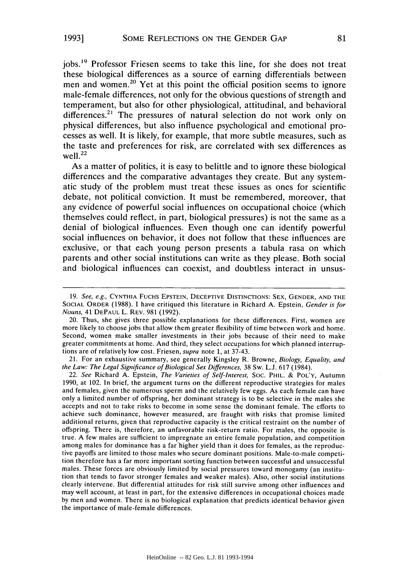**1993]**

jobs.<sup>19</sup> Professor Friesen seems to take this line, for she does not treat these biological differences as a source of earning differentials between men and women.<sup>20</sup> Yet at this point the official position seems to ignore male-female differences, not only for the obvious questions of strength and temperament, but also for other physiological, attitudinal, and behavioral differences.<sup>21</sup> The pressures of natural selection do not work only on physical differences, but also influence psychological and emotional processes as well. It is likely, for example, that more subtle measures, such as the taste and preferences for risk, are correlated with sex differences as well. $^{22}$ 

As a matter of politics, it is easy to belittle and to ignore these biological differences and the comparative advantages they create. But any systematic study of the problem must treat these issues as ones for scientific debate, not political conviction. It must be remembered, moreover, that any evidence of powerful social influences on occupational choice (which themselves could reflect, in part, biological pressures) is not the same as a denial of biological influences. Even though one can identify powerful social influences on behavior, it does not follow that these influences are exclusive, or that each young person presents a tabula rasa on which parents and other social institutions can write as they please. Both social and biological influences can coexist, and doubtless interact in unsus-

21. For an exhaustive summary, see generally Kingsley R. Browne, *Biology, Equality, and the Law: The Legal Significance of Biological Sex Differences,* 38 Sw. L.J. 617 (1984).

22. *See* Richard A. Epstein, *The Varieties of Self-Interest,* Soc. PHIL. & POL'Y, Autumn 1990, at 102. In brief, the argument turns on the different reproductive strategies for males and females, given the numerous sperm and the relatively few eggs. As each female can have only a limited number of offspring, her dominant strategy is to be selective in the males she accepts and not to take risks to become in some sense the dominant female. The efforts to achieve such dominance, however measured, are fraught with risks that promise limited additional returns, given that reproductive capacity is the critical restraint on the number of offspring. There is, therefore, an unfavorable risk-return ratio. For males, the opposite is true. A few males are sufficient to impregnate an entire female population, and competition among males for dominance has a far'higher yield than it does for females, as the reproductive payoffs are limited to those males who secure dominant positions. Male-to-male competition therefore has a far more important sorting function between successful and unsuccessful males. These forces are obviously limited by social pressures toward monogamy (an institution that tends to favor stronger females and weaker males). Also, other social institutions clearly intervene. But differential attitudes for risk still survive among other influences and may well account, at least in part, for the extensive differences in occupational choices made by men and women. There is no biological explanation that predicts identical behavior given the importance of male-female differences.

<sup>19.</sup> *See, e.g.,* **CYNTHIA** FUCHS **EPSTEIN, DECEPTIVE DISTINCTIONS: SEX, GENDER, AND** THE **SOCIAL** ORDER (1988). **1** have critiqued this literature in Richard A. Epstein, *Gender is for Nouns,* 41 **DEPAUL** L. REV. 981 (1992).

<sup>20.</sup> Thus, she gives three possible explanations for these differences. First, women are more likely to choose jobs that allow them greater flexibility of time between work and home. Second, women make smaller investments in their jobs because of their need to make greater commitments at home. And third, they select occupations for which planned interruptions are of relatively low cost. Friesen, *supra* note 1, at 37-43.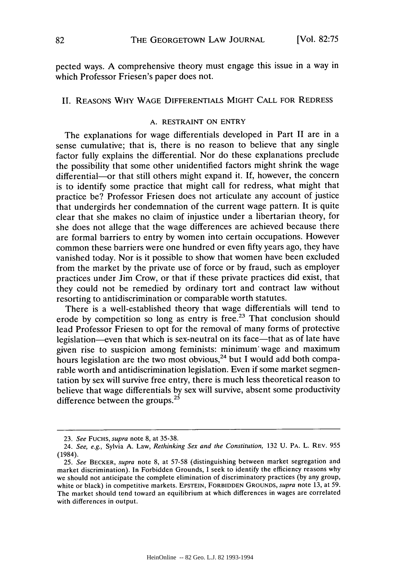pected ways. A comprehensive theory must engage this issue in a way in which Professor Friesen's paper does not.

# II. **REASONS** WHY **WAGE DIFFERENTIALS** MIGHT **CALL** FOR REDRESS

#### **A.** RESTRAINT **ON** ENTRY

The explanations for wage differentials developed in Part II are in a sense cumulative; that is, there is no reason to believe that any single factor fully explains the differential. Nor do these explanations preclude the possibility that some other unidentified factors might shrink the wage differential-or that still others might expand it. If, however, the concern is to identify some practice that might call for redress, what might that practice be? Professor Friesen does not articulate any account of justice that undergirds her condemnation of the current wage pattern. It is quite clear that she makes no claim of injustice under a libertarian theory, for she does not allege that the wage differences are achieved because there are formal barriers to entry by women into certain occupations. However common these barriers were one hundred or even fifty years ago, they have vanished today. Nor is it possible to show that women have been excluded from the market by the private use of force or by fraud, such as employer practices under Jim Crow, or that if these private practices did exist, that they could not be remedied by ordinary tort and contract law without resorting to antidiscrimination or comparable worth statutes.

There is a well-established theory that wage differentials will tend to erode by competition so long as entry is free.<sup>23</sup> That conclusion should lead Professor Friesen to opt for the removal of many forms of protective legislation-even that which is sex-neutral on its face-that as of late have given rise to suspicion among feminists: minimum' wage and maximum hours legislation are the two most obvious,  $24$  but I would add both comparable worth and antidiscrimination legislation. Even if some market segmentation by sex will survive free entry, there is much less theoretical reason to believe that wage differentials by sex will survive, absent some productivity difference between the groups.<sup>25</sup>

<sup>23.</sup> *See* FUCHS, *supra* note 8, at 35-38.

<sup>24.</sup> *See, e.g.,* Sylvia A. Law, *Rethinking Sex and the Constitution,* 132 U. PA. L. REV. 955 (1984).

<sup>25.</sup> *See* BECKER, *supra* note 8, at 57-58 (distinguishing between market segregation and market discrimination). In Forbidden Grounds, I seek to identify the efficiency reasons why we should not anticipate the complete elimination of discriminatory practices (by any group, white or black) in competitive markets. **EPSTEIN,** FORBIDDEN **GROUNDS,** *supra* note 13, at 59. The market should tend toward an equilibrium at which differences in wages are correlated with differences in output.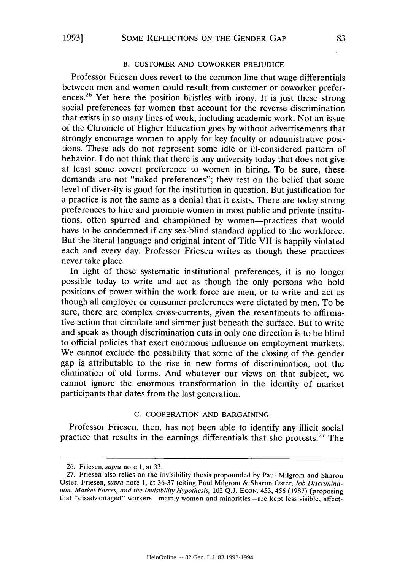#### B. **CUSTOMER AND** COWORKER PREJUDICE

Professor Friesen does revert to the common line that wage differentials between men and women could result from customer or coworker preferences.<sup>26</sup> Yet here the position bristles with irony. It is just these strong social preferences for women that account for the reverse discrimination that exists in so many lines of work, including academic work. Not an issue of the Chronicle of Higher Education goes by without advertisements that strongly encourage women to apply for key faculty or administrative positions. These ads do not represent some idle or ill-considered pattern of behavior. I do not think that there is any university today that does not give at least some covert preference to women in hiring. To be sure, these demands are not "naked preferences"; they rest on the belief that some level of diversity is good for the institution in question. But justification for a practice is not the same as a denial that it exists. There are today strong preferences to hire and promote women in most public and private institutions, often spurred and championed by women-practices that would have to be condemned if any sex-blind standard applied to the workforce. But the literal language and original intent of Title VII is happily violated each and every day. Professor Friesen writes as though these practices never take place.

In light of these systematic institutional preferences, it is no longer possible today to write and act as though the only persons who hold positions of power within the work force are men, or to write and act as though all employer or consumer preferences were dictated by men. To be sure, there are complex cross-currents, given the resentments to affirmative action that circulate and simmer just beneath the surface. But to write and speak as though discrimination cuts in only one direction is to be blind to official policies that exert enormous influence on employment markets. We cannot exclude the possibility that some of the closing of the gender gap is attributable to the rise in new forms of discrimination, not the elimination of old forms. And whatever our views on that subject, we cannot ignore the enormous transformation in the identity of market participants that dates from the last generation.

### **C.** COOPERATION **AND** BARGAINING

Professor Friesen, then, has not been able to identify any illicit social practice that results in the earnings differentials that she protests.<sup>27</sup> The

<sup>26.</sup> Friesen, *supra* note 1, at 33.

<sup>27.</sup> Friesen also relies on the invisibility thesis propounded by Paul Milgrom and Sharon Oster. Friesen, *supra* note 1, at 36-37 (citing Paul Milgrom & Sharon Oster, *Job Discrimination, Market Forces, and the Invisibility Hypothesis,* 102 Q.J. ECON. 453, 456 (1987) (proposing that "disadvantaged" workers-mainly women and minorities-are kept less visible, affect-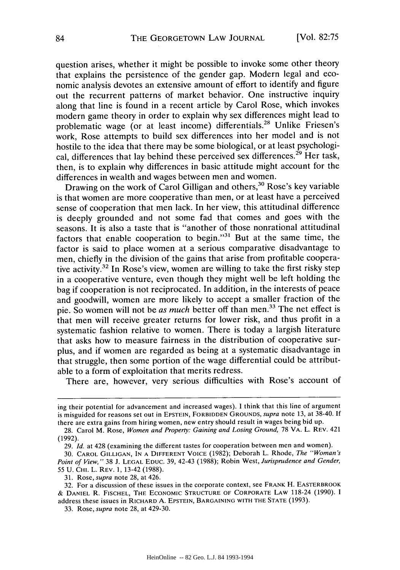question arises, whether it might be possible to invoke some other theory that explains the persistence of the gender gap. Modern legal and economic analysis devotes an extensive amount of effort to identify and figure out the recurrent patterns of market behavior. One instructive inquiry along that line is found in a recent article by Carol Rose, which invokes modern game theory in order to explain why sex differences might lead to problematic wage (or at least income) differentials.<sup>28</sup> Unlike Friesen's work, Rose attempts to build sex differences into her model and is not hostile to the idea that there may be some biological, or at least psychological, differences that lay behind these perceived sex differences.<sup>29</sup> Her task, then, is to explain why differences in basic attitude might account for the differences in wealth and wages between men and women.

Drawing on the work of Carol Gilligan and others,<sup>30</sup> Rose's key variable is that women are more cooperative than men, or at least have a perceived sense of cooperation that men lack. In her view, this attitudinal difference is deeply grounded and not some fad that comes and goes with the seasons. It is also a taste that is "another of those nonrational attitudinal factors that enable cooperation to begin."<sup>31</sup> But at the same time, the factor is said to place women at a serious comparative disadvantage to men, chiefly in the division of the gains that arise from profitable cooperative activity.32 In Rose's view, women are willing to take the first risky step in a cooperative venture, even though they might well be left holding the bag if cooperation is not reciprocated. In addition, in the interests of peace and goodwill, women are more likely to accept a smaller fraction of the pie. So women will not be *as much* better off than men.<sup>33</sup> The net effect is that men will receive greater returns for lower risk, and thus profit in a systematic fashion relative to women. There is today a largish literature that asks how to measure fairness in the distribution of cooperative surplus, and if women are regarded as being at a systematic disadvantage in that struggle, then some portion of the wage differential could be attributable to a form of exploitation that merits redress.

There are, however, very serious difficulties with Rose's account of

ing their potential for advancement and increased wages). I think that this line of argument is misguided for reasons set out in **EPSTEIN,** FORBIDDEN **GROUNDS,** supra note 13, at 38-40. If there are extra gains from hiring women, new entry should result in wages being bid up.

<sup>28.</sup> Carol M. Rose, *Women and Property: Gaining and Losing Ground,* 78 VA. L. REV. 421 (1992).

<sup>29.</sup> *Id.* at 428 (examining the different tastes for cooperation between men and women).

<sup>30.</sup> CAROL **GILLIGAN, IN A** DIFFERENT **VOICE** (1982); Deborah L. Rhode, *The "Woman's Point of View,"* 38 **J. LEGAL** EDUC. 39, 42-43 (1988); Robin West, *Jurisprudence and Gender,* 55 U. CHI. L. REV. 1, 13-42 (1988).

<sup>31.</sup> Rose, *supra* note 28, at 426.

<sup>32.</sup> For a discussion of these issues in the corporate context, see FRANK H. EASTERBROOK **& DANIEL** R. **FISCHEL,** THE **ECONOMIC STRUCTURE** OF CORPORATE LAW 118-24 (1990). **I** address these issues in RICHARD **A. EPSTEIN,** BARGAINING WITH THE STATE (1993).

<sup>33.</sup> Rose, *supra* note 28, at 429-30.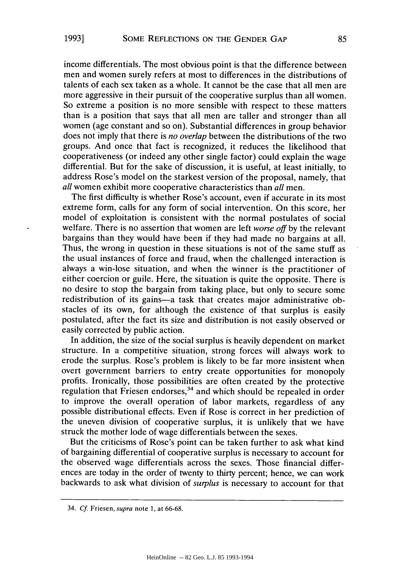income differentials. The most obvious point is that the difference between men and women surely refers at most to differences in the distributions of talents of each sex taken as a whole. It cannot be the case that all men are more aggressive in their pursuit of the cooperative surplus than all women. So extreme a position is no more sensible with respect to these matters than is a position that says that all men are taller and stronger than all women (age constant and so on). Substantial differences in group behavior does not imply that there is *no overlap* between the distributions of the two groups. And once that fact is recognized, it reduces the likelihood that cooperativeness (or indeed any other single factor) could explain the wage differential. But for the sake of discussion, it is useful, at least initially, to address Rose's model on the starkest version of the proposal, namely, that *all* women exhibit more cooperative characteristics than *all* men.

The first difficulty is whether Rose's account, even if accurate in its most extreme form, calls for any form of social intervention. On this score, her model of exploitation is consistent with the normal postulates of social welfare. There is no assertion that women are left *worse off* by the relevant bargains than they would have been if they had made no bargains at all. Thus, the wrong in question in these situations is not of the same stuff as the usual instances of force and fraud, when the challenged interaction is always a win-lose situation, and when the winner is the practitioner of either coercion or guile. Here, the situation is quite the opposite. There is no desire to stop the bargain from taking place, but only to secure some redistribution of its gains-a task that creates major administrative obstacles of its own, for although the existence of that surplus is easily postulated, after the fact its size and distribution is not easily observed or easily corrected by public action.

In addition, the size of the social surplus is heavily dependent on market structure. In a competitive situation, strong forces will always work to erode the surplus. Rose's problem is likely to be far more insistent when overt government barriers to entry create opportunities for monopoly profits. Ironically, those possibilities are often created by the protective regulation that Friesen endorses,<sup>34</sup> and which should be repealed in order to improve the overall operation of labor markets, regardless of any possible distributional effects. Even if Rose is correct in her prediction of the uneven division of cooperative surplus, it is unlikely that we have struck the mother lode of wage differentials between the sexes.

But the criticisms of Rose's point can be taken further to ask what kind of bargaining differential of cooperative surplus is necessary to account for the observed wage differentials across the sexes. Those financial differences are today in the order of twenty to thirty percent; hence, we can work backwards to ask what division of *surplus* is necessary to account for that

**1993]**

<sup>34.</sup> *Cf.* Friesen, *supra* note 1, at 66-68.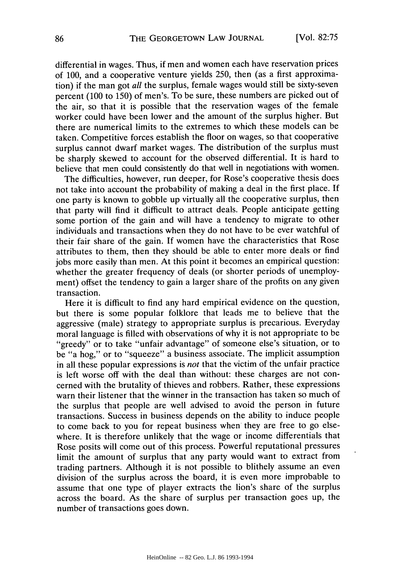differential in wages. Thus, if men and women each have reservation prices of 100, and a cooperative venture yields 250, then (as a first approximation) if the man got *all* the surplus, female wages would still be sixty-seven percent (100 to 150) of men's. To be sure, these numbers are picked out of the air, so that it is possible that the reservation wages of the female worker could have been lower and the amount of the surplus higher. But there are numerical limits to the extremes to which these models can be taken. Competitive forces establish the floor on wages, so that cooperative surplus cannot dwarf market wages. The distribution of the surplus must be sharply skewed to account for the observed differential. It is hard to believe that men could consistently do that well in negotiations with women.

The difficulties, however, run deeper, for Rose's cooperative thesis does not take into account the probability of making a deal in the first place. If one party is known to gobble up virtually all the cooperative surplus, then that party will find it difficult to attract deals. People anticipate getting some portion of the gain and will have a tendency to migrate to other individuals and transactions when they do not have to be ever watchful of their fair share of the gain. If women have the characteristics that Rose attributes to them, then they should be able to enter more deals or find jobs more easily than men. At this point it becomes an empirical question: whether the greater frequency of deals (or shorter periods of unemployment) offset the tendency to gain a larger share of the profits on any given transaction.

Here it is difficult to find any hard empirical evidence on the question, but there is some popular folklore that leads me to believe that the aggressive (male) strategy to appropriate surplus is precarious. Everyday moral language is filled with observations of why it is not appropriate to be "greedy" or to take "unfair advantage" of someone else's situation, or to be "a hog," or to "squeeze" a business associate. The implicit assumption in all these popular expressions is *not* that the victim of the unfair practice is left worse off with the deal than without: these charges are not concerned with the brutality of thieves and robbers. Rather, these expressions warn their listener that the winner in the transaction has taken so much of the surplus that people are well advised to avoid the person in future transactions. Success in business depends on the ability to induce people to come back to you for repeat business when they are free to go elsewhere. It is therefore unlikely that the wage or income differentials that Rose posits will come out of this process. Powerful reputational pressures limit the amount of surplus that any party would want to extract from trading partners. Although it is not possible to blithely assume an even division of the surplus across the board, it is even more improbable to assume that one type of player extracts the lion's share of the surplus across the board. As the share of surplus per transaction goes up, the number of transactions goes down.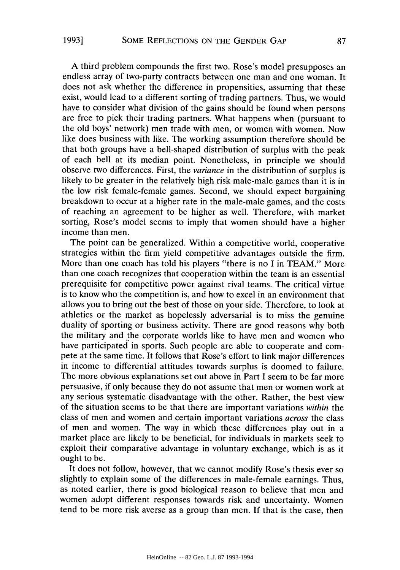A third problem compounds the first two. Rose's model presupposes an endless array of two-party contracts between one man and one woman. It does not ask whether the difference in propensities, assuming that these exist, would lead to a different sorting of trading partners. Thus, we would have to consider what division of the gains should be found when persons are free to pick their trading partners. What happens when (pursuant to the old boys' network) men trade with men, or women with women. Now like does business with like. The working assumption therefore should be that both groups have a bell-shaped distribution of surplus with the peak of each bell at its median point. Nonetheless, in principle we should observe two differences. First, the *variance* in the distribution of surplus is likely to be greater in the relatively high risk male-male games than it is in the low risk female-female games. Second, we should expect bargaining breakdown to occur at a higher rate in the male-male games, and the costs of reaching an agreement to be higher as well. Therefore, with market sorting, Rose's model seems to imply that women should have a higher income than men.

The point can be generalized. Within a competitive world, cooperative strategies within the firm yield competitive advantages outside the firm. More than one coach has told his players "there is no I in TEAM." More than one coach recognizes that cooperation within the team is an essential prerequisite for competitive power against rival teams. The critical virtue is to know who the competition is, and how to excel in an environment that allows you to bring out the best of those on your side. Therefore, to look at athletics or the market as hopelessly adversarial is to miss the genuine duality of sporting or business activity. There are good reasons why both the military and the corporate worlds like to have men and women who have participated in sports. Such people are able to cooperate and compete at the same time. It follows that Rose's effort to link major differences in income to differential attitudes towards surplus is doomed to failure. The more obvious explanations set out above in Part I seem to be far more persuasive, if only because they do not assume that men or women work at any serious systematic disadvantage with the other. Rather, the best view of the situation seems to be that there are important variations *within* the class of men and women and certain important variations *across* the class of men and women. The way in which these differences play out in a market place are likely to be beneficial, for individuals in markets seek to exploit their comparative advantage in voluntary exchange, which is as it ought to be.

It does not follow, however, that we cannot modify Rose's thesis ever so slightly to explain some of the differences in male-female earnings. Thus, as noted earlier, there is good biological reason to believe that men and women adopt different responses towards risk and uncertainty. Women tend to be more risk averse as a group than men. If that is the case, then